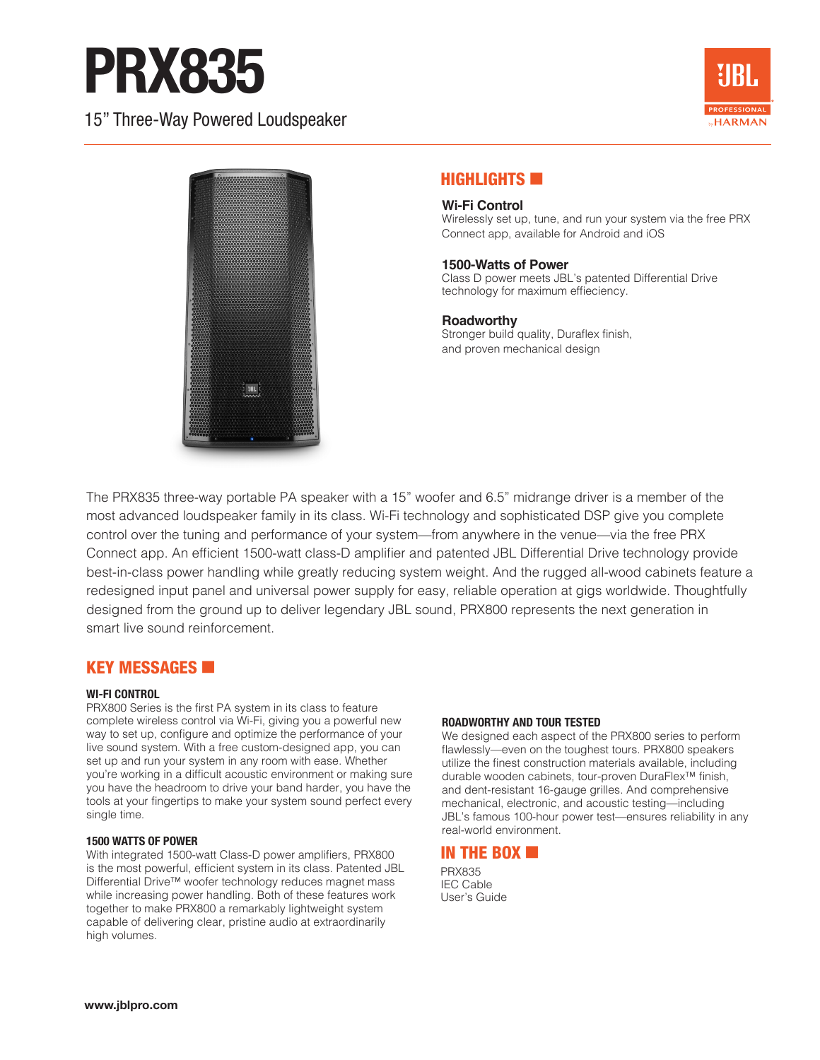# PRX835

15" Three-Way Powered Loudspeaker





# HIGHLIGHTS **EXIT**

#### **Wi-Fi Control**

Wirelessly set up, tune, and run your system via the free PRX Connect app, available for Android and iOS

#### **1500-Watts of Power**

Class D power meets JBL's patented Differential Drive technology for maximum effieciency.

### **Roadworthy**

Stronger build quality, Duraflex finish, and proven mechanical design

The PRX835 three-way portable PA speaker with a 15" woofer and 6.5" midrange driver is a member of the most advanced loudspeaker family in its class. Wi-Fi technology and sophisticated DSP give you complete control over the tuning and performance of your system—from anywhere in the venue—via the free PRX Connect app. An efficient 1500-watt class-D amplifier and patented JBL Differential Drive technology provide best-in-class power handling while greatly reducing system weight. And the rugged all-wood cabinets feature a redesigned input panel and universal power supply for easy, reliable operation at gigs worldwide. Thoughtfully designed from the ground up to deliver legendary JBL sound, PRX800 represents the next generation in smart live sound reinforcement.

# KEY MESSAGES

#### **WI-FI CONTROL**

PRX800 Series is the first PA system in its class to feature complete wireless control via Wi-Fi, giving you a powerful new way to set up, configure and optimize the performance of your live sound system. With a free custom-designed app, you can set up and run your system in any room with ease. Whether you're working in a difficult acoustic environment or making sure you have the headroom to drive your band harder, you have the tools at your fingertips to make your system sound perfect every single time.

#### **1500 WATTS OF POWER**

With integrated 1500-watt Class-D power amplifiers, PRX800 is the most powerful, efficient system in its class. Patented JBL Differential Drive™ woofer technology reduces magnet mass while increasing power handling. Both of these features work together to make PRX800 a remarkably lightweight system capable of delivering clear, pristine audio at extraordinarily high volumes.

#### **ROADWORTHY AND TOUR TESTED**

We designed each aspect of the PRX800 series to perform flawlessly—even on the toughest tours. PRX800 speakers utilize the finest construction materials available, including durable wooden cabinets, tour-proven DuraFlex™ finish, and dent-resistant 16-gauge grilles. And comprehensive mechanical, electronic, and acoustic testing—including JBL's famous 100-hour power test—ensures reliability in any real-world environment.

### IN THE BOX

PRX835 IEC Cable User's Guide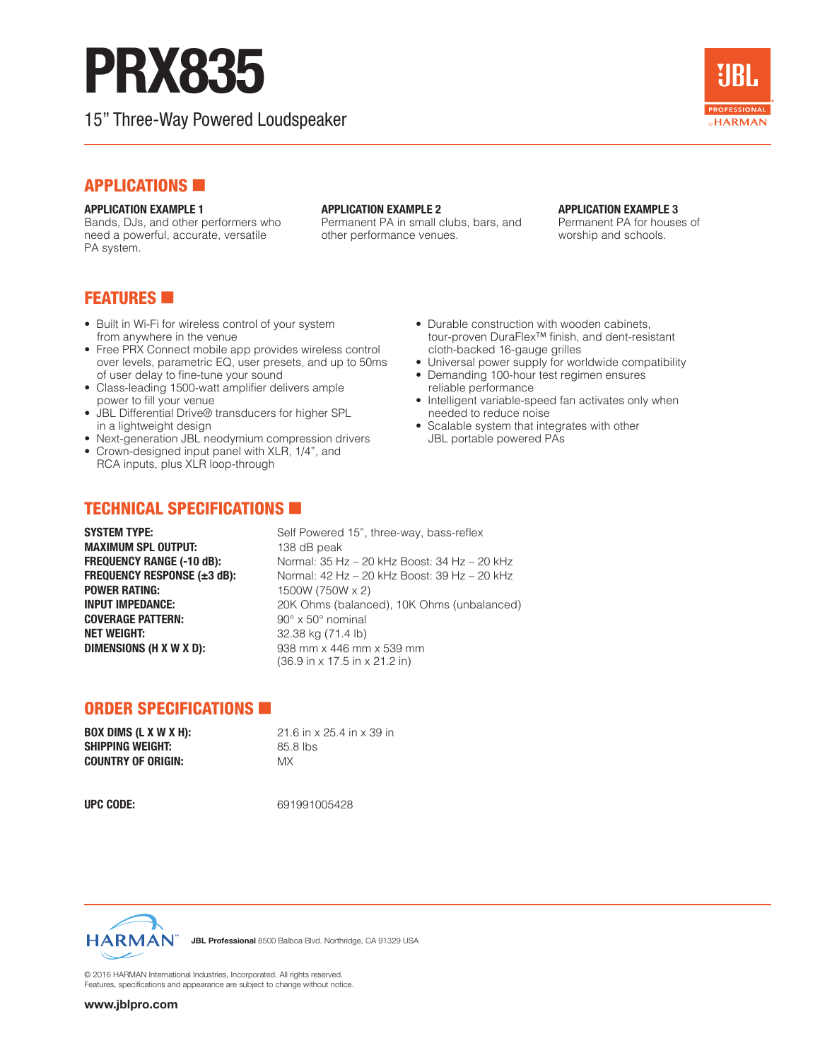# PRX835

15" Three-Way Powered Loudspeaker



# **APPLICATIONS**

#### **APPLICATION EXAMPLE 1**

Bands, DJs, and other performers who need a powerful, accurate, versatile PA system.

#### **APPLICATION EXAMPLE 2**

Permanent PA in small clubs, bars, and other performance venues.

#### **APPLICATION EXAMPLE 3**

Permanent PA for houses of worship and schools.

# **FEATURES**

- Built in Wi-Fi for wireless control of your system from anywhere in the venue
- Free PRX Connect mobile app provides wireless control over levels, parametric EQ, user presets, and up to 50ms of user delay to fine-tune your sound
- Class-leading 1500-watt amplifier delivers ample power to fill your venue
- JBL Differential Drive® transducers for higher SPL in a lightweight design
- Next-generation JBL neodymium compression drivers
- Crown-designed input panel with XLR, 1/4", and RCA inputs, plus XLR loop-through
- Durable construction with wooden cabinets, tour-proven DuraFlex™ finish, and dent-resistant cloth-backed 16-gauge grilles
- Universal power supply for worldwide compatibility
- Demanding 100-hour test regimen ensures reliable performance
- Intelligent variable-speed fan activates only when needed to reduce noise
- Scalable system that integrates with other JBL portable powered PAs

# TECHNICAL SPECIFICATIONS

**MAXIMUM SPL OUTPUT:** 138 dB peak **POWER RATING:** 1500W (750W x 2) **NET WEIGHT:** 32.38 kg (71.4 lb) **DIMENSIONS (H X W X D):** 938 mm x 446 mm x 539 mm

**SYSTEM TYPE:** Self Powered 15", three-way, bass-reflex **FREQUENCY RANGE (-10 dB):** Normal: 35 Hz – 20 kHz Boost: 34 Hz – 20 kHz **FREQUENCY RESPONSE (±3 dB):** Normal: 42 Hz – 20 kHz Boost: 39 Hz – 20 kHz **INPUT IMPEDANCE:** 20K Ohms (balanced), 10K Ohms (unbalanced)<br> **COVERAGE PATTERN:** 90° x 50° nominal **COVERAGE PATTERN:** 90° x 50° nominal (36.9 in x 17.5 in x 21.2 in)

# ORDER SPECIFICATIONS

| <b>BOX DIMS (L X W X H):</b> | 21.6 in x 25.4 in x 39 in |
|------------------------------|---------------------------|
| <b>SHIPPING WEIGHT:</b>      | 85.8 lbs                  |
| <b>COUNTRY OF ORIGIN:</b>    | MX                        |

**UPC CODE:** 691991005428



JBL Professional 8500 Balboa Blvd. Northridge, CA 91329 USA

© 2016 HARMAN International Industries, Incorporated. All rights reserved. Features, specifications and appearance are subject to change without notice.